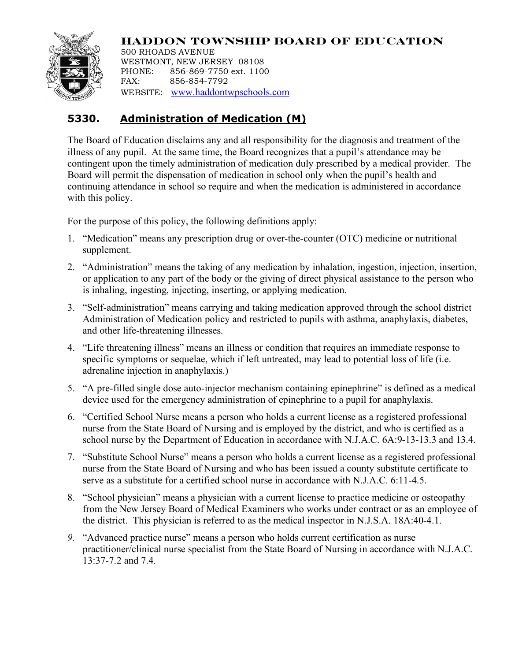

**HADDON TOWNSHIP BOARD OF EDUCATION** 500 RHOADS AVENUE WESTMONT, NEW JERSEY 08108 PHONE: 856-869-7750 ext. 1100 FAX: 856-854-7792 WEBSITE: www.haddontwpschools.com

# **5330. Administration of Medication (M)**

The Board of Education disclaims any and all responsibility for the diagnosis and treatment of the illness of any pupil. At the same time, the Board recognizes that a pupil's attendance may be contingent upon the timely administration of medication duly prescribed by a medical provider. The Board will permit the dispensation of medication in school only when the pupil's health and continuing attendance in school so require and when the medication is administered in accordance with this policy.

For the purpose of this policy, the following definitions apply:

- 1. "Medication" means any prescription drug or over-the-counter (OTC) medicine or nutritional supplement.
- 2. "Administration" means the taking of any medication by inhalation, ingestion, injection, insertion, or application to any part of the body or the giving of direct physical assistance to the person who is inhaling, ingesting, injecting, inserting, or applying medication.
- 3. "Self-administration" means carrying and taking medication approved through the school district Administration of Medication policy and restricted to pupils with asthma, anaphylaxis, diabetes, and other life-threatening illnesses.
- 4. "Life threatening illness" means an illness or condition that requires an immediate response to specific symptoms or sequelae, which if left untreated, may lead to potential loss of life (i.e. adrenaline injection in anaphylaxis.)
- 5. "A pre-filled single dose auto-injector mechanism containing epinephrine" is defined as a medical device used for the emergency administration of epinephrine to a pupil for anaphylaxis.
- 6. "Certified School Nurse means a person who holds a current license as a registered professional nurse from the State Board of Nursing and is employed by the district, and who is certified as a school nurse by the Department of Education in accordance with N.J.A.C. 6A:9-13-13.3 and 13.4.
- 7. "Substitute School Nurse" means a person who holds a current license as a registered professional nurse from the State Board of Nursing and who has been issued a county substitute certificate to serve as a substitute for a certified school nurse in accordance with N.J.A.C. 6:11-4.5.
- 8. "School physician" means a physician with a current license to practice medicine or osteopathy from the New Jersey Board of Medical Examiners who works under contract or as an employee of the district. This physician is referred to as the medical inspector in N.J.S.A. 18A:40-4.1.
- *9.* "Advanced practice nurse" means a person who holds current certification as nurse practitioner/clinical nurse specialist from the State Board of Nursing in accordance with N.J.A.C. 13:37-7.2 and 7.4.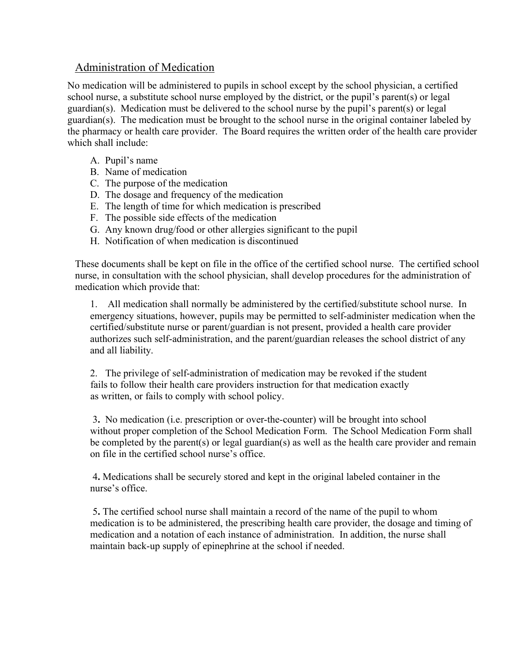# Administration of Medication

No medication will be administered to pupils in school except by the school physician, a certified school nurse, a substitute school nurse employed by the district, or the pupil's parent(s) or legal guardian(s). Medication must be delivered to the school nurse by the pupil's parent(s) or legal guardian(s). The medication must be brought to the school nurse in the original container labeled by the pharmacy or health care provider. The Board requires the written order of the health care provider which shall include:

- A. Pupil's name
- B. Name of medication
- C. The purpose of the medication
- D. The dosage and frequency of the medication
- E. The length of time for which medication is prescribed
- F. The possible side effects of the medication
- G. Any known drug/food or other allergies significant to the pupil
- H. Notification of when medication is discontinued

These documents shall be kept on file in the office of the certified school nurse. The certified school nurse, in consultation with the school physician, shall develop procedures for the administration of medication which provide that:

1. All medication shall normally be administered by the certified/substitute school nurse. In emergency situations, however, pupils may be permitted to self-administer medication when the certified/substitute nurse or parent/guardian is not present, provided a health care provider authorizes such self-administration, and the parent/guardian releases the school district of any and all liability.

2. The privilege of self-administration of medication may be revoked if the student fails to follow their health care providers instruction for that medication exactly as written, or fails to comply with school policy.

 3**.** No medication (i.e. prescription or over-the-counter) will be brought into school without proper completion of the School Medication Form. The School Medication Form shall be completed by the parent(s) or legal guardian(s) as well as the health care provider and remain on file in the certified school nurse's office.

 4**.** Medications shall be securely stored and kept in the original labeled container in the nurse's office.

 5**.** The certified school nurse shall maintain a record of the name of the pupil to whom medication is to be administered, the prescribing health care provider, the dosage and timing of medication and a notation of each instance of administration. In addition, the nurse shall maintain back-up supply of epinephrine at the school if needed.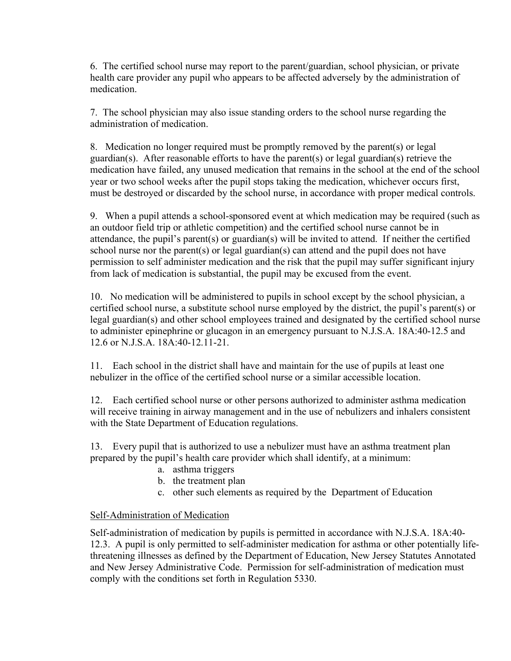6. The certified school nurse may report to the parent/guardian, school physician, or private health care provider any pupil who appears to be affected adversely by the administration of medication.

7. The school physician may also issue standing orders to the school nurse regarding the administration of medication.

8. Medication no longer required must be promptly removed by the parent(s) or legal guardian(s). After reasonable efforts to have the parent(s) or legal guardian(s) retrieve the medication have failed, any unused medication that remains in the school at the end of the school year or two school weeks after the pupil stops taking the medication, whichever occurs first, must be destroyed or discarded by the school nurse, in accordance with proper medical controls.

9. When a pupil attends a school-sponsored event at which medication may be required (such as an outdoor field trip or athletic competition) and the certified school nurse cannot be in attendance, the pupil's parent(s) or guardian(s) will be invited to attend. If neither the certified school nurse nor the parent(s) or legal guardian(s) can attend and the pupil does not have permission to self administer medication and the risk that the pupil may suffer significant injury from lack of medication is substantial, the pupil may be excused from the event.

10. No medication will be administered to pupils in school except by the school physician, a certified school nurse, a substitute school nurse employed by the district, the pupil's parent(s) or legal guardian(s) and other school employees trained and designated by the certified school nurse to administer epinephrine or glucagon in an emergency pursuant to N.J.S.A. 18A:40-12.5 and 12.6 or N.J.S.A. 18A:40-12.11-21.

11. Each school in the district shall have and maintain for the use of pupils at least one nebulizer in the office of the certified school nurse or a similar accessible location.

12. Each certified school nurse or other persons authorized to administer asthma medication will receive training in airway management and in the use of nebulizers and inhalers consistent with the State Department of Education regulations.

13. Every pupil that is authorized to use a nebulizer must have an asthma treatment plan prepared by the pupil's health care provider which shall identify, at a minimum:

- a. asthma triggers
- b. the treatment plan
- c. other such elements as required by the Department of Education

## Self-Administration of Medication

Self-administration of medication by pupils is permitted in accordance with N.J.S.A. 18A:40- 12.3. A pupil is only permitted to self-administer medication for asthma or other potentially lifethreatening illnesses as defined by the Department of Education, New Jersey Statutes Annotated and New Jersey Administrative Code. Permission for self-administration of medication must comply with the conditions set forth in Regulation 5330.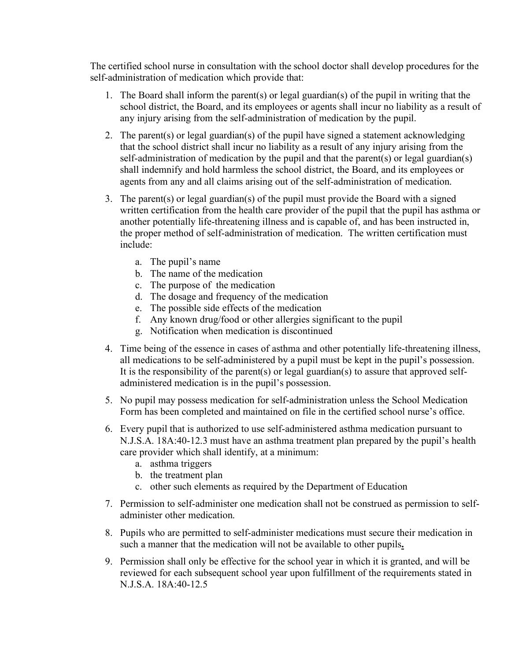The certified school nurse in consultation with the school doctor shall develop procedures for the self-administration of medication which provide that:

- 1. The Board shall inform the parent(s) or legal guardian(s) of the pupil in writing that the school district, the Board, and its employees or agents shall incur no liability as a result of any injury arising from the self-administration of medication by the pupil.
- 2. The parent(s) or legal guardian(s) of the pupil have signed a statement acknowledging that the school district shall incur no liability as a result of any injury arising from the self-administration of medication by the pupil and that the parent(s) or legal guardian(s) shall indemnify and hold harmless the school district, the Board, and its employees or agents from any and all claims arising out of the self-administration of medication.
- 3. The parent(s) or legal guardian(s) of the pupil must provide the Board with a signed written certification from the health care provider of the pupil that the pupil has asthma or another potentially life-threatening illness and is capable of, and has been instructed in, the proper method of self-administration of medication. The written certification must include:
	- a. The pupil's name
	- b. The name of the medication
	- c. The purpose of the medication
	- d. The dosage and frequency of the medication
	- e. The possible side effects of the medication
	- f. Any known drug/food or other allergies significant to the pupil
	- g. Notification when medication is discontinued
- 4. Time being of the essence in cases of asthma and other potentially life-threatening illness, all medications to be self-administered by a pupil must be kept in the pupil's possession. It is the responsibility of the parent(s) or legal guardian(s) to assure that approved selfadministered medication is in the pupil's possession.
- 5. No pupil may possess medication for self-administration unless the School Medication Form has been completed and maintained on file in the certified school nurse's office.
- 6. Every pupil that is authorized to use self-administered asthma medication pursuant to N.J.S.A. 18A:40-12.3 must have an asthma treatment plan prepared by the pupil's health care provider which shall identify, at a minimum:
	- a. asthma triggers
	- b. the treatment plan
	- c. other such elements as required by the Department of Education
- 7. Permission to self-administer one medication shall not be construed as permission to selfadminister other medication.
- 8. Pupils who are permitted to self-administer medications must secure their medication in such a manner that the medication will not be available to other pupils**.**
- 9. Permission shall only be effective for the school year in which it is granted, and will be reviewed for each subsequent school year upon fulfillment of the requirements stated in N.J.S.A. 18A:40-12.5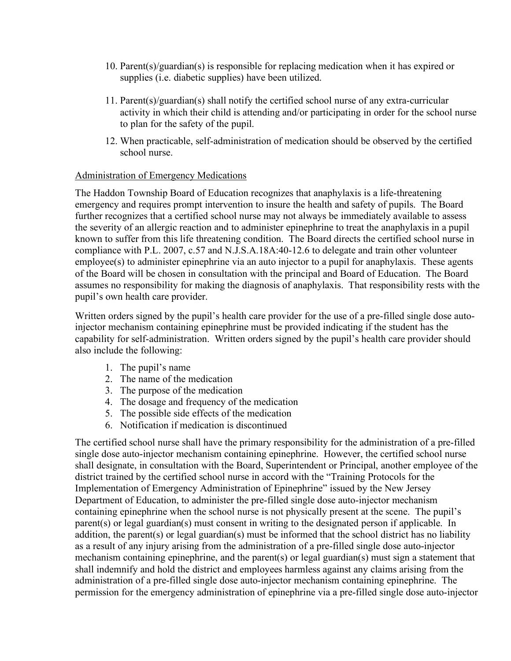- 10. Parent(s)/guardian(s) is responsible for replacing medication when it has expired or supplies (i.e. diabetic supplies) have been utilized.
- 11. Parent(s)/guardian(s) shall notify the certified school nurse of any extra-curricular activity in which their child is attending and/or participating in order for the school nurse to plan for the safety of the pupil.
- 12. When practicable, self-administration of medication should be observed by the certified school nurse.

#### Administration of Emergency Medications

The Haddon Township Board of Education recognizes that anaphylaxis is a life-threatening emergency and requires prompt intervention to insure the health and safety of pupils. The Board further recognizes that a certified school nurse may not always be immediately available to assess the severity of an allergic reaction and to administer epinephrine to treat the anaphylaxis in a pupil known to suffer from this life threatening condition. The Board directs the certified school nurse in compliance with P.L. 2007, c.57 and N.J.S.A.18A:40-12.6 to delegate and train other volunteer employee(s) to administer epinephrine via an auto injector to a pupil for anaphylaxis. These agents of the Board will be chosen in consultation with the principal and Board of Education. The Board assumes no responsibility for making the diagnosis of anaphylaxis. That responsibility rests with the pupil's own health care provider.

Written orders signed by the pupil's health care provider for the use of a pre-filled single dose autoinjector mechanism containing epinephrine must be provided indicating if the student has the capability for self-administration. Written orders signed by the pupil's health care provider should also include the following:

- 1. The pupil's name
- 2. The name of the medication
- 3. The purpose of the medication
- 4. The dosage and frequency of the medication
- 5. The possible side effects of the medication
- 6. Notification if medication is discontinued

The certified school nurse shall have the primary responsibility for the administration of a pre-filled single dose auto-injector mechanism containing epinephrine. However, the certified school nurse shall designate, in consultation with the Board, Superintendent or Principal, another employee of the district trained by the certified school nurse in accord with the "Training Protocols for the Implementation of Emergency Administration of Epinephrine" issued by the New Jersey Department of Education, to administer the pre-filled single dose auto-injector mechanism containing epinephrine when the school nurse is not physically present at the scene. The pupil's parent(s) or legal guardian(s) must consent in writing to the designated person if applicable. In addition, the parent(s) or legal guardian(s) must be informed that the school district has no liability as a result of any injury arising from the administration of a pre-filled single dose auto-injector mechanism containing epinephrine, and the parent(s) or legal guardian(s) must sign a statement that shall indemnify and hold the district and employees harmless against any claims arising from the administration of a pre-filled single dose auto-injector mechanism containing epinephrine. The permission for the emergency administration of epinephrine via a pre-filled single dose auto-injector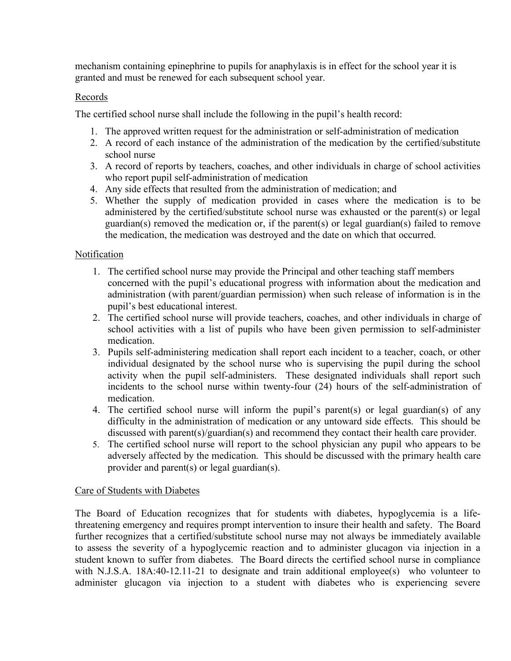mechanism containing epinephrine to pupils for anaphylaxis is in effect for the school year it is granted and must be renewed for each subsequent school year.

# Records

The certified school nurse shall include the following in the pupil's health record:

- 1. The approved written request for the administration or self-administration of medication
- 2. A record of each instance of the administration of the medication by the certified/substitute school nurse
- 3. A record of reports by teachers, coaches, and other individuals in charge of school activities who report pupil self-administration of medication
- 4. Any side effects that resulted from the administration of medication; and
- 5. Whether the supply of medication provided in cases where the medication is to be administered by the certified/substitute school nurse was exhausted or the parent(s) or legal guardian(s) removed the medication or, if the parent(s) or legal guardian(s) failed to remove the medication, the medication was destroyed and the date on which that occurred.

# **Notification**

- 1. The certified school nurse may provide the Principal and other teaching staff members concerned with the pupil's educational progress with information about the medication and administration (with parent/guardian permission) when such release of information is in the pupil's best educational interest.
- 2. The certified school nurse will provide teachers, coaches, and other individuals in charge of school activities with a list of pupils who have been given permission to self-administer medication.
- 3. Pupils self-administering medication shall report each incident to a teacher, coach, or other individual designated by the school nurse who is supervising the pupil during the school activity when the pupil self-administers. These designated individuals shall report such incidents to the school nurse within twenty-four (24) hours of the self-administration of medication.
- 4. The certified school nurse will inform the pupil's parent(s) or legal guardian(s) of any difficulty in the administration of medication or any untoward side effects. This should be discussed with parent(s)/guardian(s) and recommend they contact their health care provider.
- 5. The certified school nurse will report to the school physician any pupil who appears to be adversely affected by the medication. This should be discussed with the primary health care provider and parent(s) or legal guardian(s).

## Care of Students with Diabetes

The Board of Education recognizes that for students with diabetes, hypoglycemia is a lifethreatening emergency and requires prompt intervention to insure their health and safety. The Board further recognizes that a certified/substitute school nurse may not always be immediately available to assess the severity of a hypoglycemic reaction and to administer glucagon via injection in a student known to suffer from diabetes. The Board directs the certified school nurse in compliance with N.J.S.A. 18A:40-12.11-21 to designate and train additional employee(s) who volunteer to administer glucagon via injection to a student with diabetes who is experiencing severe